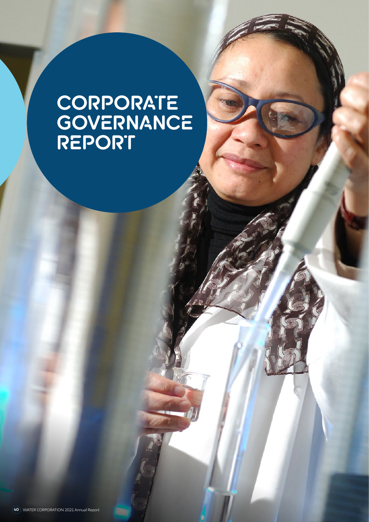# **CORPORATE GOVERNANCE REPORT**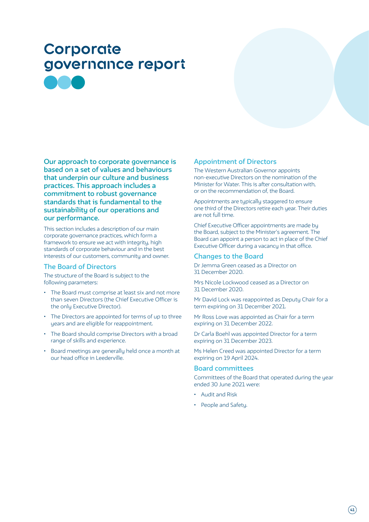# **Corporate governance report**

**Our approach to corporate governance is based on a set of values and behaviours that underpin our culture and business practices. This approach includes a commitment to robust governance standards that is fundamental to the sustainability of our operations and our performance.**

This section includes a description of our main corporate governance practices, which form a framework to ensure we act with integrity, high standards of corporate behaviour and in the best interests of our customers, community and owner.

# **The Board of Directors**

The structure of the Board is subject to the following parameters:

- The Board must comprise at least six and not more than seven Directors (the Chief Executive Officer is the only Executive Director).
- The Directors are appointed for terms of up to three years and are eligible for reappointment.
- The Board should comprise Directors with a broad range of skills and experience.
- Board meetings are generally held once a month at our head office in Leederville.

# **Appointment of Directors**

The Western Australian Governor appoints non-executive Directors on the nomination of the Minister for Water. This is after consultation with, or on the recommendation of, the Board.

Appointments are typically staggered to ensure one third of the Directors retire each year. Their duties are not full time.

Chief Executive Officer appointments are made by the Board, subject to the Minister's agreement. The Board can appoint a person to act in place of the Chief Executive Officer during a vacancy in that office.

# **Changes to the Board**

Dr Jemma Green ceased as a Director on 31 December 2020.

Mrs Nicole Lockwood ceased as a Director on 31 December 2020.

Mr David Lock was reappointed as Deputy Chair for a term expiring on 31 December 2021.

Mr Ross Love was appointed as Chair for a term expiring on 31 December 2022.

Dr Carla Boehl was appointed Director for a term expiring on 31 December 2023.

Ms Helen Creed was appointed Director for a term expiring on 19 April 2024.

#### **Board committees**

Committees of the Board that operated during the year ended 30 June 2021 were:

- Audit and Risk
- People and Safety.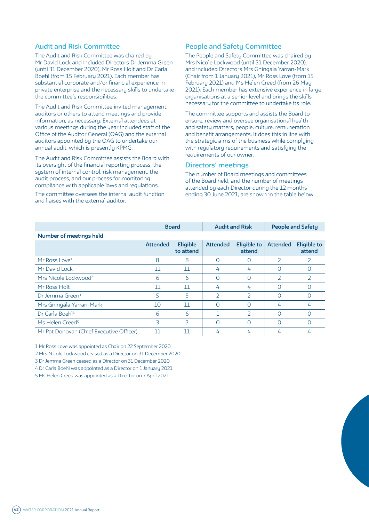# **Audit and Risk Committee**

The Audit and Risk Committee was chaired by Mr David Lock and included Directors Dr Jemma Green (until 31 December 2020), Mr Ross Holt and Dr Carla Boehl (from 15 February 2021). Each member has substantial corporate and/or financial experience in private enterprise and the necessary skills to undertake the committee's responsibilities.

The Audit and Risk Committee invited management, auditors or others to attend meetings and provide information, as necessary. External attendees at various meetings during the year included staff of the Office of the Auditor General (OAG) and the external auditors appointed by the OAG to undertake our annual audit, which is presently KPMG.

The Audit and Risk Committee assists the Board with its oversight of the financial reporting process, the system of internal control, risk management, the audit process, and our process for monitoring compliance with applicable laws and regulations.

The committee oversees the internal audit function and liaises with the external auditor.

# **People and Safety Committee**

The People and Safety Committee was chaired by Mrs Nicole Lockwood (until 31 December 2020), and included Directors Mrs Gningala Yarran-Mark (Chair from 1 January 2021), Mr Ross Love (from 15 February 2021) and Ms Helen Creed (from 26 May 2021). Each member has extensive experience in large organisations at a senior level and brings the skills necessary for the committee to undertake its role.

The committee supports and assists the Board to ensure, review and oversee organisational health and safety matters, people, culture, remuneration and benefit arrangements. It does this in line with the strategic aims of the business while complying with regulatory requirements and satisfying the requirements of our owner.

#### **Directors' meetings**

The number of Board meetings and committees of the Board held, and the number of meetings attended by each Director during the 12 months ending 30 June 2021, are shown in the table below.

|                                          |                 | <b>Board</b>                 | <b>Audit and Risk</b> |                              | <b>People and Safety</b> |                              |
|------------------------------------------|-----------------|------------------------------|-----------------------|------------------------------|--------------------------|------------------------------|
| Number of meetings held                  |                 |                              |                       |                              |                          |                              |
|                                          | <b>Attended</b> | <b>Eligible</b><br>to attend | <b>Attended</b>       | <b>Eligible to</b><br>attend | <b>Attended</b>          | <b>Eligible to</b><br>attend |
| Mr Ross Love <sup>1</sup>                | 8               | 8                            | $\Omega$              | Ω                            |                          | 2                            |
| Mr David Lock                            | 11              | 11                           | 4                     | 4                            | Ω                        | O                            |
| Mrs Nicole Lockwood <sup>2</sup>         | 6               | 6                            | ∩                     | Ω                            | $\mathcal{P}$            | $\overline{2}$               |
| Mr Ross Holt                             | 11              | 11                           | 4                     | 4                            | Ω                        | ∩                            |
| Dr Jemma Green <sup>3</sup>              | 5               | 5                            | $\overline{2}$        | $\overline{\phantom{a}}$     | Ω                        | $\Omega$                     |
| Mrs Gningala Yarran-Mark                 | 10              | 11                           | Ω                     | Ω                            | 4                        | 4                            |
| Dr Carla Boehl <sup>4</sup>              | 6               | 6                            |                       | $\overline{\phantom{a}}$     | Ω                        | $\Omega$                     |
| Ms Helen Creed <sup>5</sup>              | 3               | 3                            | Ω                     | Ω                            | ∩                        | ∩                            |
| Mr Pat Donovan (Chief Executive Officer) | 11              | 11                           | 4                     | 4                            | 4                        | 4                            |

1 Mr Ross Love was appointed as Chair on 22 September 2020

2 Mrs Nicole Lockwood ceased as a Director on 31 December 2020

3 Dr Jemma Green ceased as a Director on 31 December 2020

4 Dr Carla Boehl was appointed as a Director on 1 January 2021

5 Ms Helen Creed was appointed as a Director on 7 April 2021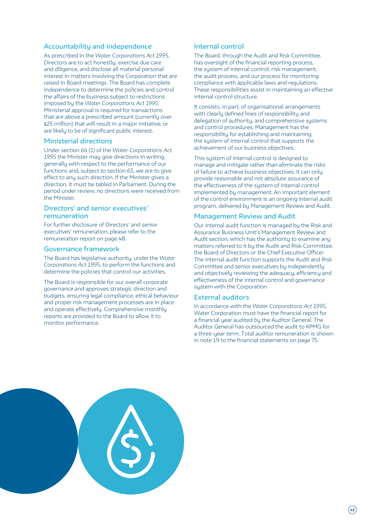# **Accountability and independence**

As prescribed in the *Water Corporations Act 1995*, Directors are to act honestly, exercise due care and diligence, and disclose all material personal interest in matters involving the Corporation that are raised in Board meetings. The Board has complete independence to determine the policies and control the affairs of the business subject to restrictions imposed by the *Water Corporations Act 1995*. Ministerial approval is required for transactions that are above a prescribed amount (currently over \$25 million) that will result in a major initiative, or are likely to be of significant public interest.

#### **Ministerial directions**

Under section 64 (1) of the *Water Corporations Act 1995* the Minister may give directions in writing, generally with respect to the performance of our functions and, subject to section 65, we are to give effect to any such direction. If the Minister gives a direction, it must be tabled in Parliament. During the period under review, no directions were received from the Minister.

# **Directors' and senior executives' remuneration**

For further disclosure of Directors' and senior executives' remuneration, please refer to the remuneration report on page 48.

#### **Governance framework**

The Board has legislative authority, under the *Water Corporations Act 1995*, to perform the functions and determine the policies that control our activities.

The Board is responsible for our overall corporate governance and approves strategic direction and budgets, ensuring legal compliance, ethical behaviour and proper risk management processes are in place and operate effectively. Comprehensive monthly reports are provided to the Board to allow it to monitor performance.

# **Internal control**

The Board, through the Audit and Risk Committee, has oversight of the financial reporting process, the system of internal control, risk management, the audit process, and our process for monitoring compliance with applicable laws and regulations. These responsibilities assist in maintaining an effective internal control structure.

It consists, in part, of organisational arrangements with clearly defined lines of responsibility and delegation of authority, and comprehensive systems and control procedures. Management has the responsibility for establishing and maintaining the sustem of internal control that supports the achievement of our business objectives.

This system of internal control is designed to manage and mitigate rather than eliminate the risks of failure to achieve business objectives. It can only provide reasonable and not absolute assurance of the effectiveness of the system of internal control implemented by management. An important element of the control environment is an ongoing internal audit program, delivered by Management Review and Audit.

# **Management Review and Audit**

Our internal audit function is managed by the Risk and Assurance Business Unit's Management Review and Audit section, which has the authority to examine any matters referred to it by the Audit and Risk Committee, the Board of Directors or the Chief Executive Officer. The internal audit function supports the Audit and Risk Committee and senior executives by independently and objectively reviewing the adequacy, efficiency and effectiveness of the internal control and governance system with the Corporation.

# **External auditors**

In accordance with the *Water Corporations Act 1995*, Water Corporation must have the financial report for a financial year audited by the Auditor General. The Auditor General has outsourced the audit to KPMG for a three-year term. Total auditor remuneration is shown in note 19 to the financial statements on page 75.

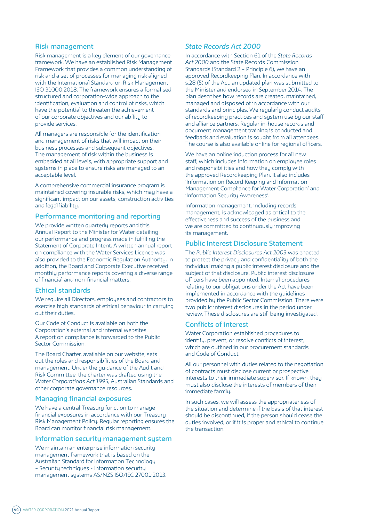#### **Risk management**

Risk management is a key element of our governance framework. We have an established Risk Management Framework that provides a common understanding of risk and a set of processes for managing risk aligned with the International Standard on Risk Management ISO 31000:2018. The framework ensures a formalised, structured and corporation-wide approach to the identification, evaluation and control of risks, which have the potential to threaten the achievement of our corporate objectives and our ability to provide services.

All managers are responsible for the identification and management of risks that will impact on their business processes and subsequent objectives. The management of risk within the business is embedded at all levels, with appropriate support and systems in place to ensure risks are managed to an acceptable level.

A comprehensive commercial insurance program is maintained covering insurable risks, which may have a significant impact on our assets, construction activities and legal liability.

# **Performance monitoring and reporting**

We provide written quarterly reports and this Annual Report to the Minister for Water detailing our performance and progress made in fulfilling the Statement of Corporate Intent. A written annual report on compliance with the Water Services Licence was also provided to the Economic Regulation Authority. In addition, the Board and Corporate Executive received monthly performance reports covering a diverse range of financial and non-financial matters.

#### **Ethical standards**

We require all Directors, employees and contractors to exercise high standards of ethical behaviour in carrying out their duties.

Our Code of Conduct is available on both the Corporation's external and internal websites. A report on compliance is forwarded to the Public Sector Commission.

The Board Charter, available on our website, sets out the roles and responsibilities of the Board and management. Under the guidance of the Audit and Risk Committee, the charter was drafted using the *Water Corporations Act 1995*, Australian Standards and other corporate governance resources.

#### **Managing financial exposures**

We have a central Treasury function to manage financial exposures in accordance with our Treasury Risk Management Policy. Regular reporting ensures the Board can monitor financial risk management.

#### **Information security management system**

We maintain an enterprise information security management framework that is based on the Australian Standard for Information Technology – Security techniques - Information security management systems AS/NZS ISO/IEC 27001:2013.

# *State Records Act 2000*

In accordance with Section 61 of the *State Records Act 2000* and the State Records Commission Standards (Standard 2 – Principle 6), we have an approved Recordkeeping Plan. In accordance with s.28 (5) of the Act, an updated plan was submitted to the Minister and endorsed in September 2014. The plan describes how records are created, maintained, managed and disposed of in accordance with our standards and principles. We regularly conduct audits of recordkeeping practices and system use by our staff and alliance partners. Regular in-house records and document management training is conducted and feedback and evaluation is sought from all attendees. The course is also available online for regional officers.

We have an online induction process for all new staff, which includes information on employee roles and responsibilities and how they comply with the approved Recordkeeping Plan. It also includes 'Information on Record Keeping and Information Management Compliance for Water Corporation' and 'Information Security Awareness'.

Information management, including records management, is acknowledged as critical to the effectiveness and success of the business and we are committed to continuously improving its management.

# **Public Interest Disclosure Statement**

The *Public Interest Disclosures Act 2003* was enacted to protect the privacy and confidentiality of both the individual making a public interest disclosure and the subject of that disclosure. Public interest disclosure officers have been appointed. Internal procedures relating to our obligations under the Act have been implemented in accordance with the guidelines provided by the Public Sector Commission. There were two public interest disclosures in the period under review. These disclosures are still being investigated.

#### **Conflicts of interest**

Water Corporation established procedures to identify, prevent, or resolve conflicts of interest, which are outlined in our procurement standards and Code of Conduct.

All our personnel with duties related to the negotiation of contracts must disclose current or prospective interests to their immediate supervisor. If known, they must also disclose the interests of members of their immediate family.

In such cases, we will assess the appropriateness of the situation and determine if the basis of that interest should be discontinued, if the person should cease the duties involved, or if it is proper and ethical to continue the transaction.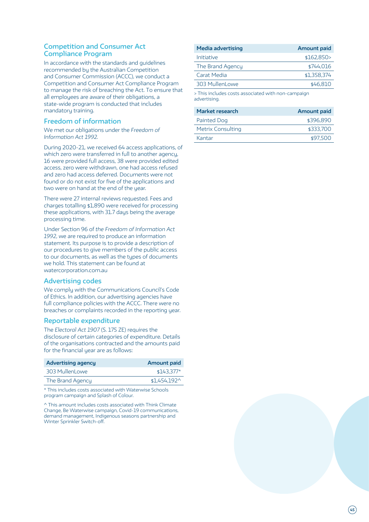# **Competition and Consumer Act Compliance Program**

In accordance with the standards and guidelines recommended by the Australian Competition and Consumer Commission (ACCC), we conduct a Competition and Consumer Act Compliance Program to manage the risk of breaching the Act. To ensure that all employees are aware of their obligations, a state-wide program is conducted that includes mandatory training.

# **Freedom of information**

We met our obligations under the *Freedom of Information Act 1992.*

During 2020-21, we received 64 access applications, of which zero were transferred in full to another agency, 16 were provided full access, 38 were provided edited access, zero were withdrawn, one had access refused and zero had access deferred. Documents were not found or do not exist for five of the applications and two were on hand at the end of the year.

There were 27 internal reviews requested. Fees and charges totalling \$1,890 were received for processing these applications, with 31.7 days being the average processing time.

Under Section 96 of *the Freedom of Information Act 1992*, we are required to produce an information statement. Its purpose is to provide a description of our procedures to give members of the public access to our documents, as well as the types of documents we hold. This statement can be found at watercorporation.com.au

# **Advertising codes**

We comply with the Communications Council's Code of Ethics. In addition, our advertising agencies have full compliance policies with the ACCC. There were no breaches or complaints recorded in the reporting year.

# **Reportable expenditure**

The *Electoral Act 1907* (S. 175 ZE) requires the disclosure of certain categories of expenditure. Details of the organisations contracted and the amounts paid for the financial year are as follows:

| <b>Advertising agency</b> | Amount paid          |
|---------------------------|----------------------|
| 303 MullenLowe            | $$143.377*$          |
| The Brand Agency          | $$1,454,192^{\circ}$ |
|                           |                      |

\* This includes costs associated with Waterwise Schools program campaign and Splash of Colour.

^ This amount includes costs associated with Think Climate Change, Be Waterwise campaign, Covid-19 communications, demand management, Indigenous seasons partnership and Winter Sprinkler Switch-off.

| <b>Media advertising</b> | <b>Amount paid</b> |
|--------------------------|--------------------|
| Initiative               | \$162,850>         |
| The Brand Agency         | \$744,016          |
| Carat Media              | \$1,358,374        |
| 303 MullenLowe           | \$46,810           |
|                          |                    |

> This includes costs associated with non-campaign advertising.

| <b>Amount paid</b> |
|--------------------|
| \$396.890          |
| \$333,700          |
| \$97,500           |
|                    |

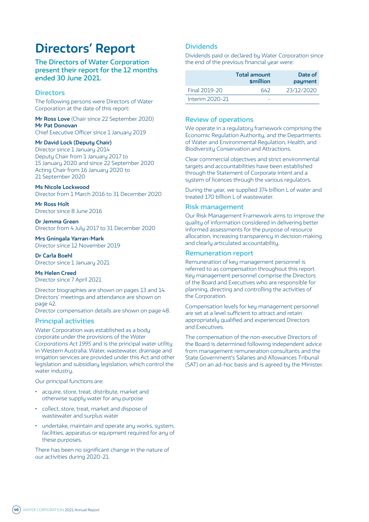# **Directors' Report**

# **The Directors of Water Corporation present their report for the 12 months ended 30 June 2021.**

# **Directors**

The following persons were Directors of Water Corporation at the date of this report:

**Mr Ross Love** (Chair since 22 September 2020) **Mr Pat Donovan** Chief Executive Officer since 1 January 2019

#### **Mr David Lock (Deputy Chair)**

Director since 1 January 2014 Deputy Chair from 1 January 2017 to 15 January 2020 and since 22 September 2020 Acting Chair from 16 January 2020 to 21 September 2020

#### **Ms Nicole Lockwood**

Director from 1 March 2016 to 31 December 2020

**Mr Ross Holt** Director since 8 June 2016

**Dr Jemma Green** Director from 4 July 2017 to 31 December 2020

**Mrs Gningala Yarran-Mark** Director since 12 November 2019

**Dr Carla Boehl** Director since 1 January 2021

**Ms Helen Creed** Director since 7 April 2021

Director biographies are shown on pages 13 and 14. Directors' meetings and attendance are shown on page 42.

Director compensation details are shown on page 48.

#### **Principal activities**

Water Corporation was established as a body corporate under the provisions of the *Water Corporations Act 1995* and is the principal water utility in Western Australia. Water, wastewater, drainage and irrigation services are provided under this Act and other legislation and subsidiary legislation, which control the water industry.

Our principal functions are:

- acquire, store, treat, distribute, market and otherwise supply water for any purpose
- collect, store, treat, market and dispose of wastewater and surplus water
- undertake, maintain and operate any works, system, facilities, apparatus or equipment required for any of these purposes.

There has been no significant change in the nature of our activities during 2020-21.

# **Dividends**

Dividends paid or declared by Water Corporation since the end of the previous financial year were:

|                 | <b>Total amount</b><br><b>smillion</b> | Date of<br>payment |  |  |  |  |
|-----------------|----------------------------------------|--------------------|--|--|--|--|
| Final 2019-20   | 642                                    | 23/12/2020         |  |  |  |  |
| Interim 2020-21 |                                        |                    |  |  |  |  |

# **Review of operations**

We operate in a regulatory framework comprising the Economic Regulation Authority, and the Departments of Water and Environmental Regulation, Health, and Biodiversity Conservation and Attractions.

Clear commercial objectives and strict environmental targets and accountabilities have been established through the Statement of Corporate Intent and a system of licences through the various regulators.

During the year, we supplied 374 billion L of water and treated 170 billion L of wastewater.

#### **Risk management**

Our Risk Management Framework aims to improve the quality of information considered in delivering better informed assessments for the purpose of resource allocation, increasing transparency in decision making and clearly articulated accountability.

#### **Remuneration report**

Remuneration of key management personnel is referred to as compensation throughout this report. Key management personnel comprise the Directors of the Board and Executives who are responsible for planning, directing and controlling the activities of the Corporation.

Compensation levels for key management personnel are set at a level sufficient to attract and retain appropriately qualified and experienced Directors and Executives.

The compensation of the non-executive Directors of the Board is determined following independent advice from management remuneration consultants and the State Government's Salaries and Allowances Tribunal (SAT) on an ad-hoc basis and is agreed by the Minister.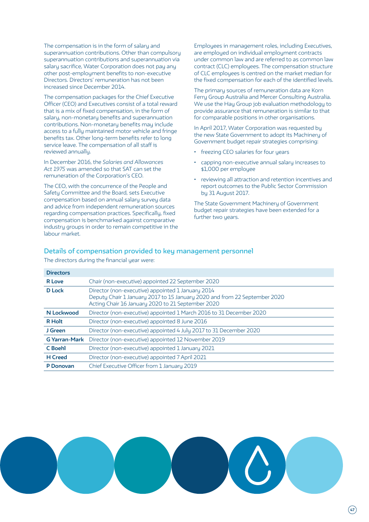The compensation is in the form of salary and superannuation contributions. Other than compulsory superannuation contributions and superannuation via salary sacrifice, Water Corporation does not pay any other post-employment benefits to non-executive Directors. Directors' remuneration has not been increased since December 2014.

The compensation packages for the Chief Executive Officer (CEO) and Executives consist of a total reward that is a mix of fixed compensation, in the form of salary, non-monetary benefits and superannuation contributions. Non-monetary benefits may include access to a fully maintained motor vehicle and fringe benefits tax. Other long-term benefits refer to long service leave. The compensation of all staff is reviewed annually.

In December 2016, the *Salaries and Allowances Act 1975* was amended so that SAT can set the remuneration of the Corporation's CEO.

The CEO, with the concurrence of the People and Safety Committee and the Board, sets Executive compensation based on annual salary survey data and advice from independent remuneration sources regarding compensation practices. Specifically, fixed compensation is benchmarked against comparative industry groups in order to remain competitive in the labour market.

Employees in management roles, including Executives, are employed on individual employment contracts under common law and are referred to as common law contract (CLC) employees. The compensation structure of CLC employees is centred on the market median for the fixed compensation for each of the identified levels.

The primary sources of remuneration data are Korn Ferry Group Australia and Mercer Consulting Australia. We use the Hay Group job evaluation methodology to provide assurance that remuneration is similar to that for comparable positions in other organisations.

In April 2017, Water Corporation was requested by the new State Government to adopt its Machinery of Government budget repair strategies comprising:

- freezing CEO salaries for four years
- capping non-executive annual salary increases to \$1,000 per employee
- reviewing all attraction and retention incentives and report outcomes to the Public Sector Commission by 31 August 2017.

The State Government Machinery of Government budget repair strategies have been extended for a further two years.

# **Details of compensation provided to key management personnel**

| <b>Directors</b>     |                                                                                                                                                                                     |
|----------------------|-------------------------------------------------------------------------------------------------------------------------------------------------------------------------------------|
| <b>R</b> Love        | Chair (non-executive) appointed 22 September 2020                                                                                                                                   |
| <b>D</b> Lock        | Director (non-executive) appointed 1 January 2014<br>Deputy Chair 1 January 2017 to 15 January 2020 and from 22 September 2020<br>Acting Chair 16 January 2020 to 21 September 2020 |
| N Lockwood           | Director (non-executive) appointed 1 March 2016 to 31 December 2020                                                                                                                 |
| <b>R</b> Holt        | Director (non-executive) appointed 8 June 2016                                                                                                                                      |
| J Green              | Director (non-executive) appointed 4 July 2017 to 31 December 2020                                                                                                                  |
| <b>G Yarran-Mark</b> | Director (non-executive) appointed 12 November 2019                                                                                                                                 |
| C Boehl              | Director (non-executive) appointed 1 January 2021                                                                                                                                   |
| <b>H</b> Creed       | Director (non-executive) appointed 7 April 2021                                                                                                                                     |
| P Donovan            | Chief Executive Officer from 1 January 2019                                                                                                                                         |

The directors during the financial year were:

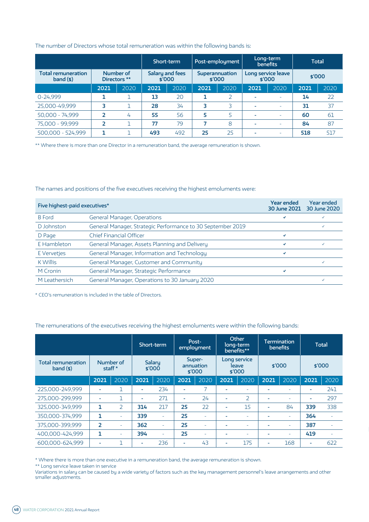#### The number of Directors whose total remuneration was within the following bands is:

|                                      |      |                           | Short-term                |      |                          | Post-employment | Long-term                    | <b>benefits</b>          | <b>Total</b> |      |
|--------------------------------------|------|---------------------------|---------------------------|------|--------------------------|-----------------|------------------------------|--------------------------|--------------|------|
| <b>Total remuneration</b><br>band(s) |      | Number of<br>Directors ** | Salary and fees<br>\$′000 |      | Superannuation<br>\$′000 |                 | Long service leave<br>\$′000 |                          | \$′000       |      |
|                                      | 2021 | 2020                      | 2021                      | 2020 | 2021                     | 2020            | 2021                         | 2020                     | 2021         | 2020 |
| $0 - 24.999$                         |      |                           | 13                        | 20   |                          |                 |                              | ٠                        | 14           | 22   |
| 25,000-49,999                        | 3    |                           | 28                        | 34   | 3                        | 3               | $\overline{\phantom{a}}$     | $\overline{\phantom{a}}$ | 31           | 37   |
| 50,000 - 74,999                      |      | 4                         | 55                        | 56   | 5                        | 5               | $\overline{\phantom{a}}$     | $\overline{\phantom{a}}$ | 60           | 61   |
| 75,000 - 99,999                      |      |                           | 77                        | 79   |                          | 8               | $\overline{\phantom{a}}$     | ٠                        | 84           | 87   |
| 500,000 - 524,999                    |      |                           | 493                       | 492  | 25                       | 25              | -                            | ٠                        | 518          | 517  |

\*\* Where there is more than one Director in a remuneration band, the average remuneration is shown.

#### The names and positions of the five executives receiving the highest emoluments were:

| Five highest-paid executives* | <b>Year ended</b><br>30 June 2021                           | <b>Year ended</b><br>30 June 2020 |              |
|-------------------------------|-------------------------------------------------------------|-----------------------------------|--------------|
| <b>B</b> Ford                 | <b>General Manager, Operations</b>                          | ◡                                 |              |
| D Johnston                    | General Manager, Strategic Performance to 30 September 2019 |                                   | $\checkmark$ |
| D Page                        | <b>Chief Financial Officer</b>                              | ✓                                 |              |
| E Hambleton                   | General Manager, Assets Planning and Delivery               | ✓                                 |              |
| E Vervetjes                   | General Manager, Information and Technology                 | ✓                                 |              |
| K Willis                      | General Manager, Customer and Community                     |                                   |              |
| M Cronin                      | General Manager, Strategic Performance                      | √                                 |              |
| M Leathersich                 | General Manager, Operations to 30 January 2020              |                                   |              |

\* CEO's remuneration is included in the table of Directors.

#### The remunerations of the executives receiving the highest emoluments were within the following bands:

|                                      |                |               | Short-term |                  | Post-<br>employment |                               | Other<br>long-term<br>benefits** |                                 | <b>Termination</b><br><b>benefits</b> |          | <b>Total</b> |        |
|--------------------------------------|----------------|---------------|------------|------------------|---------------------|-------------------------------|----------------------------------|---------------------------------|---------------------------------------|----------|--------------|--------|
| <b>Total remuneration</b><br>band(s) | staff $*$      | Number of     |            | Salary<br>\$′000 |                     | Super-<br>annuation<br>\$′000 |                                  | Long service<br>leave<br>\$′000 |                                       | \$′000   |              | \$′000 |
|                                      | 2021           | 2020          | 2021       | 2020             | 2021                | 2020                          | 2021                             | 2020                            | 2021                                  | 2020     | 2021         | 2020   |
| 225,000-249,999                      |                |               | ٠          | 234              | ٠                   |                               | ٠                                | ۰                               |                                       |          |              | 241    |
| 275,000-299,999                      | -              |               | ۰          | 271              | ٠                   | 24                            | ٠                                | $\overline{2}$                  | -                                     |          | -            | 297    |
| 325,000-349,999                      | 1              | $\mathcal{P}$ | 314        | 217              | 25                  | 22                            | ٠                                | 15                              | $\overline{\phantom{a}}$              | 84       | 339          | 338    |
| 350,000-374,999                      | 1              | ۰             | 339        |                  | 25                  |                               | $\overline{\phantom{a}}$         |                                 |                                       | $\equiv$ | 364          |        |
| 375,000-399,999                      | $\overline{2}$ | ٠             | 362        |                  | 25                  |                               | $\overline{\phantom{a}}$         |                                 |                                       |          | 387          |        |
| 400.000-424.999                      | 1              | $\equiv$      | 394        |                  | 25                  |                               | ٠                                | ۰                               |                                       | $\equiv$ | 419          |        |
| 600.000-624.999                      |                |               | -          | 236              |                     | 43                            | ٠                                | 175                             | ۰                                     | 168      |              | 622    |

\* Where there is more than one executive in a remuneration band, the average remuneration is shown.

\*\* Long service leave taken in service

Variations in salary can be caused by a wide variety of factors such as the key management personnel's leave arrangements and other smaller adjustments.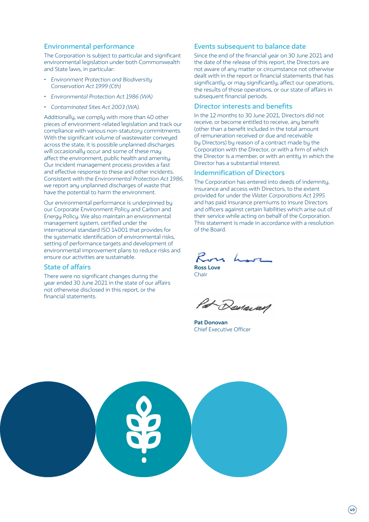#### **Environmental performance**

The Corporation is subject to particular and significant environmental legislation under both Commonwealth and State laws, in particular:

- *• Environment Protection and Biodiversity Conservation Act 1999 (Cth)*
- *• Environmental Protection Act 1986 (WA)*
- *• Contaminated Sites Act 2003 (WA).*

Additionally, we comply with more than 40 other pieces of environment-related legislation and track our compliance with various non-statutory commitments. With the significant volume of wastewater conveyed across the state, it is possible unplanned discharges will occasionally occur and some of these may affect the environment, public health and amenity. Our incident management process provides a fast and effective response to these and other incidents. Consistent with the *Environmental Protection Act 1986,* we report any unplanned discharges of waste that have the potential to harm the environment.

Our environmental performance is underpinned by our Corporate Environment Policy and Carbon and Energy Policy. We also maintain an environmental management sustem, certified under the international standard ISO 14001 that provides for the sustematic identification of environmental risks, setting of performance targets and development of environmental improvement plans to reduce risks and ensure our activities are sustainable.

# **State of affairs**

There were no significant changes during the year ended 30 June 2021 in the state of our affairs not otherwise disclosed in this report, or the financial statements.

# **Events subsequent to balance date**

Since the end of the financial year on 30 June 2021 and the date of the release of this report, the Directors are not aware of any matter or circumstance not otherwise dealt with in the report or financial statements that has significantly, or may significantly, affect our operations, the results of those operations, or our state of affairs in subsequent financial periods.

#### **Director interests and benefits**

In the 12 months to 30 June 2021, Directors did not receive, or become entitled to receive, any benefit (other than a benefit included in the total amount of remuneration received or due and receivable by Directors) by reason of a contract made by the Corporation with the Director, or with a firm of which the Director is a member, or with an entity in which the Director has a substantial interest.

### **Indemnification of Directors**

The Corporation has entered into deeds of indemnity, insurance and access with Directors, to the extent provided for under the *Water Corporations Act 1995* and has paid insurance premiums to insure Directors and officers against certain liabilities which arise out of their service while acting on behalf of the Corporation. This statement is made in accordance with a resolution of the Board.

**Ross Love**

**Chair** 

2 Rosacas

**Pat Donovan** Chief Executive Officer

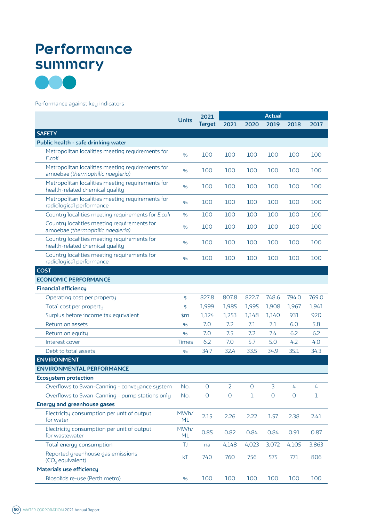# **Performance summary**



#### Performance against key indicators

|                                                                                      |              | 2021          |                | <b>Actual</b> |         |                |       |  |
|--------------------------------------------------------------------------------------|--------------|---------------|----------------|---------------|---------|----------------|-------|--|
|                                                                                      | <b>Units</b> | <b>Target</b> | 2021           | 2020          | 2019    | 2018           | 2017  |  |
| <b>SAFETY</b>                                                                        |              |               |                |               |         |                |       |  |
| Public health - safe drinking water                                                  |              |               |                |               |         |                |       |  |
| Metropolitan localities meeting requirements for<br>E.coli                           | $\%$         | 100           | 100            | 100           | 100     | 100            | 100   |  |
| Metropolitan localities meeting requirements for<br>amoebae (thermophilic naegleria) | $\%$         | 100           | 100            | 100           | 100     | 100            | 100   |  |
| Metropolitan localities meeting requirements for<br>health-related chemical quality  | %            | 100           | 100            | 100           | 100     | 100            | 100   |  |
| Metropolitan localities meeting requirements for<br>radiological performance         | %            | 100           | 100            | 100           | 100     | 100            | 100   |  |
| Country localities meeting requirements for E.coli                                   | %            | 100           | 100            | 100           | 100     | 100            | 100   |  |
| Country localities meeting requirements for<br>amoebae (thermophilic naegleria)      | %            | 100           | 100            | 100           | 100     | 100            | 100   |  |
| Country localities meeting requirements for<br>health-related chemical quality       | %            | 100           | 100            | 100           | 100     | 100            | 100   |  |
| Country localities meeting requirements for<br>radiological performance              | %            | 100           | 100            | 100           | 100     | 100            | 100   |  |
| <b>COST</b>                                                                          |              |               |                |               |         |                |       |  |
| <b>ECONOMIC PERFORMANCE</b>                                                          |              |               |                |               |         |                |       |  |
| <b>Financial efficiency</b>                                                          |              |               |                |               |         |                |       |  |
| Operating cost per property                                                          | \$           | 827.8         | 807.8          | 822.7         | 748.6   | 794.0          | 769.0 |  |
| Total cost per property                                                              | \$           | 1,999         | 1,985          | 1,995         | 1,908   | 1,967          | 1,941 |  |
| Surplus before income tax equivalent                                                 | \$m          | 1,124         | 1,253          | 1,148         | 1,140   | 931            | 920   |  |
| Return on assets                                                                     | %            | 7.0           | 7.2            | 7.1           | 7.1     | 6.0            | 5.8   |  |
| Return on equity                                                                     | %            | 7.0           | 7.5            | 7.2           | 7.4     | 6.2            | 6.2   |  |
| Interest cover                                                                       | <b>Times</b> | 6.2           | 7.0            | 5.7           | 5.0     | 4.2            | 4.0   |  |
| Debt to total assets                                                                 | %            | 34.7          | 32.4           | 33.5          | 34.9    | 35.1           | 34.3  |  |
| <b>ENVIRONMENT</b>                                                                   |              |               |                |               |         |                |       |  |
| <b>ENVIRONMENTAL PERFORMANCE</b>                                                     |              |               |                |               |         |                |       |  |
| <b>Ecosystem protection</b>                                                          |              |               |                |               |         |                |       |  |
| Overflows to Swan-Canning - conveyance system                                        | No.          | 0             | $\overline{2}$ | 0             | 3       | 4              | 4     |  |
| Overflows to Swan-Canning - pump stations only                                       | No.          | $\mathsf{O}$  | $\overline{O}$ | $\mathbf{1}$  | $\circ$ | $\overline{O}$ | 1     |  |
| <b>Energy and greenhouse gases</b>                                                   |              |               |                |               |         |                |       |  |
| Electricity consumption per unit of output<br>for water                              | MWh/<br>ML   | 2.15          | 2.26           | 2.22          | 1.57    | 2.38           | 2.41  |  |
| Electricity consumption per unit of output<br>for wastewater                         | MWh/<br>ML   | 0.85          | 0.82           | 0.84          | 0.84    | 0.91           | 0.87  |  |
| Total energy consumption                                                             | TJ           | na            | 4,148          | 4,023         | 3,072   | 4,105          | 3,863 |  |
| Reported greenhouse gas emissions<br>(CO <sub>2</sub> equivalent)                    | kT           | 740           | 760            | 756           | 575     | 771            | 806   |  |
| <b>Materials use efficiency</b>                                                      |              |               |                |               |         |                |       |  |
| Biosolids re-use (Perth metro)                                                       | $\%$         | 100           | 100            | 100           | 100     | 100            | 100   |  |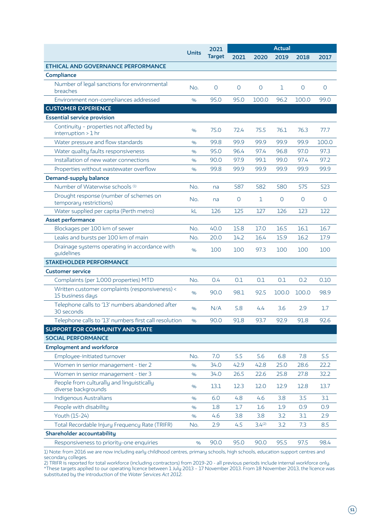|                                                                    |              | 2021          |             |                    |                |         |         |
|--------------------------------------------------------------------|--------------|---------------|-------------|--------------------|----------------|---------|---------|
|                                                                    | <b>Units</b> | <b>Target</b> | 2021        | 2020               | 2019           | 2018    | 2017    |
| <b>ETHICAL AND GOVERNANCE PERFORMANCE</b>                          |              |               |             |                    |                |         |         |
| Compliance                                                         |              |               |             |                    |                |         |         |
| Number of legal sanctions for environmental<br>breaches            | No.          | $\circ$       | $\mathbf 0$ | $\circ$            | 1              | $\circ$ | $\circ$ |
| Environment non-compliances addressed                              | %            | 95.0          | 95.0        | 100.0              | 96.2           | 100.0   | 99.0    |
| <b>CUSTOMER EXPERIENCE</b>                                         |              |               |             |                    |                |         |         |
| <b>Essential service provision</b>                                 |              |               |             |                    |                |         |         |
| Continuity - properties not affected by<br>interruption > 1 hr     | %            | 75.0          | 72.4        | 75.5               | 76.1           | 76.3    | 77.7    |
| Water pressure and flow standards                                  | %            | 99.8          | 99.9        | 99.9               | 99.9           | 99.9    | 100.0   |
| Water quality faults responsiveness                                | $\%$         | 95.0          | 96.4        | 97.4               | 96.8           | 97.0    | 97.3    |
| Installation of new water connections                              | %            | 90.0          | 97.9        | 99.1               | 99.0           | 97.4    | 97.2    |
| Properties without wastewater overflow                             | $\%$         | 99.8          | 99.9        | 99.9               | 99.9           | 99.9    | 99.9    |
| <b>Demand-supply balance</b>                                       |              |               |             |                    |                |         |         |
| Number of Waterwise schools <sup>(1)</sup>                         | No.          | na            | 587         | 582                | 580            | 575     | 523     |
| Drought response (number of schemes on<br>temporary restrictions)  | No.          | na            | $\mathbf 0$ | $\mathbf{1}$       | $\overline{O}$ | $\circ$ | $\circ$ |
| Water supplied per capita (Perth metro)                            | kL           | 126           | 125         | 127                | 126            | 123     | 122     |
| <b>Asset performance</b>                                           |              |               |             |                    |                |         |         |
| Blockages per 100 km of sewer                                      | No.          | 40.0          | 15.8        | 17.0               | 16.5           | 16.1    | 16.7    |
| Leaks and bursts per 100 km of main                                | No.          | 20.0          | 14.2        | 16.4               | 15.9           | 16.2    | 17.9    |
| Drainage systems operating in accordance with<br>guidelines        | $\%$         | 100           | 100         | 97.3               | 100            | 100     | 100     |
| <b>STAKEHOLDER PERFORMANCE</b>                                     |              |               |             |                    |                |         |         |
| <b>Customer service</b>                                            |              |               |             |                    |                |         |         |
| Complaints (per 1,000 properties) MTD                              | No.          | 0.4           | 0.1         | 0.1                | 0.1            | 0.2     | 0.10    |
| Written customer complaints (responsiveness) <<br>15 business days | %            | 90.0          | 98.1        | 92.5               | 100.0          | 100.0   | 98.9    |
| Telephone calls to '13' numbers abandoned after<br>30 seconds      | %            | N/A           | 5.8         | 4.4                | 3.6            | 2.9     | 1.7     |
| Telephone calls to '13' numbers first call resolution              | %            | 90.0          | 91.8        | 93.7               | 92.9           | 91.8    | 92.6    |
| SUPPORT FOR COMMUNITY AND STATE                                    |              |               |             |                    |                |         |         |
| <b>SOCIAL PERFORMANCE</b>                                          |              |               |             |                    |                |         |         |
| <b>Employment and workforce</b>                                    |              |               |             |                    |                |         |         |
| Employee-initiated turnover                                        | No.          | 7.0           | 5.5         | 5.6                | 6.8            | 7.8     | 5.5     |
| Women in senior management - tier 2                                | $\%$         | 34.0          | 42.9        | 42.8               | 25.0           | 28.6    | 22.2    |
| Women in senior management - tier 3                                | %            | 34.0          | 26.5        | 22.6               | 25.8           | 27.8    | 32.2    |
| People from culturally and linguistically<br>diverse backgrounds   | %            | 13.1          | 12.3        | 12.0               | 12.9           | 12.8    | 13.7    |
| Indigenous Australians                                             | $\%$         | 6.0           | 4.8         | 4.6                | 3.8            | 3.5     | 3.1     |
| People with disability                                             | %            | 1.8           | 1.7         | 1.6                | 1.9            | 0.9     | 0.9     |
| Youth (15-24)                                                      | %            | 4.6           | 3.8         | 3.8                | 3.2            | 3.1     | 2.9     |
| Total Recordable Injury Frequency Rate (TRIFR)                     | No.          | 2.9           | 4.5         | 3.4 <sup>(2)</sup> | 3.2            | 7.3     | 8.5     |
| <b>Shareholder accountability</b>                                  |              |               |             |                    |                |         |         |
| Responsiveness to priority-one enquiries                           | $\%$         | 90.0          | 95.0        | 90.0               | 95.5           | 97.5    | 98.4    |

1) Note: from 2016 we are now including early childhood centres, primary schools, high schools, education support centres and secondary colleges.

2) TRIFR is reported for total workforce (including contractors) from 2019-20 - all previous periods include internal workforce only. \*These targets applied to our operating licence between 1 July 2013 – 17 November 2013. From 18 November 2013, the licence was substituted by the introduction of the *Water Services Act 2012*.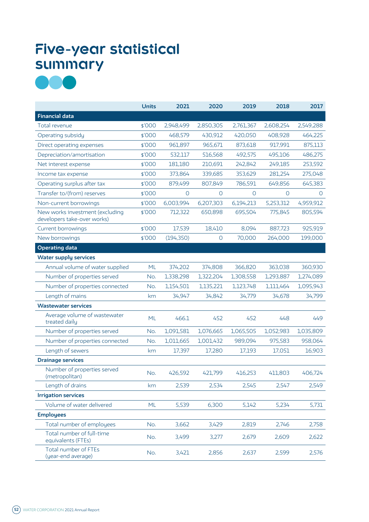# **Five-year statistical summary**



|                                                                | <b>Units</b> | 2021           | 2020           | 2019         | 2018           | 2017           |
|----------------------------------------------------------------|--------------|----------------|----------------|--------------|----------------|----------------|
| <b>Financial data</b>                                          |              |                |                |              |                |                |
| Total revenue                                                  | \$′000       | 2,948,499      | 2,850,305      | 2,761,367    | 2,608,254      | 2,549,288      |
| Operating subsidy                                              | \$′000       | 468,579        | 430,912        | 420,050      | 408,928        | 464,225        |
| Direct operating expenses                                      | \$'000       | 961,897        | 965,671        | 873,618      | 917,991        | 875,113        |
| Depreciation/amortisation                                      | \$'000       | 532,117        | 516,568        | 492,575      | 495,106        | 486,275        |
| Net interest expense                                           | \$'000       | 181,180        | 210,691        | 242,842      | 249,185        | 253,592        |
| Income tax expense                                             | \$'000       | 373,864        | 339,685        | 353,629      | 281,254        | 275,048        |
| Operating surplus after tax                                    | \$'000       | 879,499        | 807,849        | 786,591      | 649,856        | 645,383        |
| Transfer to/(from) reserves                                    | \$'000       | $\overline{O}$ | $\circ$        | $\mathsf{O}$ | $\overline{O}$ | $\overline{O}$ |
| Non-current borrowings                                         | \$'000       | 6,003,994      | 6,207,303      | 6,194,213    | 5,253,312      | 4,959,912      |
| New works investment (excluding<br>developers take-over works) | \$'000       | 712,322        | 650,898        | 695,504      | 775,845        | 805,594        |
| Current borrowings                                             | \$'000       | 17,539         | 18,410         | 8,094        | 887,723        | 925,919        |
| New borrowings                                                 | \$'000       | (194, 350)     | $\overline{O}$ | 70,000       | 264,000        | 199,000        |
| <b>Operating data</b>                                          |              |                |                |              |                |                |
| <b>Water supply services</b>                                   |              |                |                |              |                |                |
| Annual volume of water supplied                                | <b>ML</b>    | 374,202        | 374,808        | 366,820      | 363,038        | 360,930        |
| Number of properties served                                    | No.          | 1,338,298      | 1,322,204      | 1,308,558    | 1,293,887      | 1,274,089      |
| Number of properties connected                                 | No.          | 1,154,501      | 1,135,221      | 1,123,748    | 1,111,464      | 1,095,943      |
| Length of mains                                                | km           | 34,947         | 34,842         | 34,779       | 34,678         | 34,799         |
| <b>Wastewater services</b>                                     |              |                |                |              |                |                |
| Average volume of wastewater<br>treated daily                  | <b>ML</b>    | 466.1          | 452            | 452          | 448            | 449            |
| Number of properties served                                    | No.          | 1,091,581      | 1,076,665      | 1,065,505    | 1,052,983      | 1,035,809      |
| Number of properties connected                                 | No.          | 1,011,665      | 1,001,432      | 989,094      | 975,583        | 958,064        |
| Length of sewers                                               | km           | 17,397         | 17,280         | 17,193       | 17,051         | 16,903         |
| <b>Drainage services</b>                                       |              |                |                |              |                |                |
| Number of properties served<br>(metropolitan)                  | No.          | 426,592        | 421,799        | 416,253      | 411,803        | 406,724        |
| Length of drains                                               | km           | 2,539          | 2,534          | 2,545        | 2,547          | 2,549          |
| <b>Irrigation services</b>                                     |              |                |                |              |                |                |
| Volume of water delivered                                      | <b>ML</b>    | 5,539          | 6,300          | 5,142        | 5,234          | 5,731          |
| <b>Employees</b>                                               |              |                |                |              |                |                |
| Total number of employees                                      | No.          | 3,662          | 3,429          | 2,819        | 2,746          | 2,758          |
| Total number of full-time<br>equivalents (FTEs)                | No.          | 3,499          | 3,277          | 2,679        | 2,609          | 2,622          |
| Total number of FTEs<br>(year-end average)                     | No.          | 3,421          | 2,856          | 2,637        | 2,599          | 2,576          |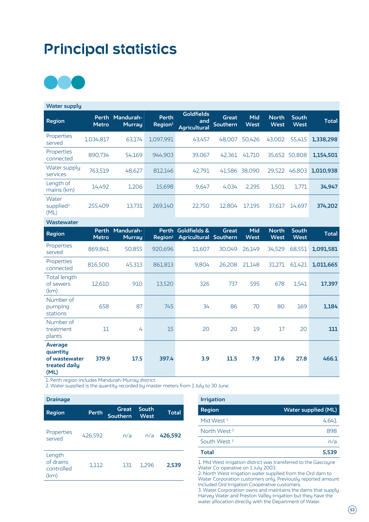# **Principal statistics**



| <b>Water supply</b>                    |                       |                            |                              |                                          |                          |                    |                             |                      |              |
|----------------------------------------|-----------------------|----------------------------|------------------------------|------------------------------------------|--------------------------|--------------------|-----------------------------|----------------------|--------------|
| Region                                 | Perth<br><b>Metro</b> | Mandurah-<br><b>Murrau</b> | Perth<br>Region <sup>1</sup> | Goldfields<br>and<br><b>Agricultural</b> | Great<br><b>Southern</b> | Mid<br><b>West</b> | <b>North</b><br><b>West</b> | South<br><b>West</b> | <b>Total</b> |
| Properties<br>served                   | 1,034,817             | 63,174                     | 1,097,991                    | 43,457                                   | 48,007                   | 50,426             | 43,002                      | 55,415               | 1,338,298    |
| Properties<br>connected                | 890,734               | 54,169                     | 944,903                      | 39,067                                   | 42,361                   | 41,710             | 35,652                      | 50,808               | 1.154.501    |
| Water supply<br>services               | 763,519               | 48,627                     | 812,146                      | 42.791                                   | 41,586                   | 38,090             | 29,522                      | 46,803               | 1,010,938    |
| Length of<br>mains (km)                | 14,492                | 1,206                      | 15,698                       | 9.647                                    | 4,034                    | 2.295              | 1,501                       | 1,771                | 34,947       |
| Water<br>supplied <sup>2</sup><br>(ML) | 255,409               | 13,731                     | 269,140                      | 22,750                                   | 12,804                   | 17.195             | 37,617                      | 14,697               | 374,202      |

| <b>Wastewater</b>                                             |                              |                            |                              |                                       |              |                    |                             |                             |              |
|---------------------------------------------------------------|------------------------------|----------------------------|------------------------------|---------------------------------------|--------------|--------------------|-----------------------------|-----------------------------|--------------|
| <b>Region</b>                                                 | <b>Perth</b><br><b>Metro</b> | Mandurah-<br><b>Murray</b> | Perth<br>Region <sup>1</sup> | Goldfields &<br>Agricultural Southern | <b>Great</b> | Mid<br><b>West</b> | <b>North</b><br><b>West</b> | <b>South</b><br><b>West</b> | <b>Total</b> |
| Properties<br>served                                          | 869,841                      | 50,855                     | 920,696                      | 11,607                                | 30,049       | 26,149             | 34,529                      | 68,551                      | 1,091,581    |
| Properties<br>connected                                       | 816,500                      | 45,313                     | 861,813                      | 9,804                                 | 26,208       | 21,148             | 31,271                      | 61,421                      | 1,011,665    |
| Total length<br>of sewers<br>(km)                             | 12,610                       | 910                        | 13,520                       | 326                                   | 737          | 595                | 678                         | 1,541                       | 17,397       |
| Number of<br>pumping<br>stations                              | 658                          | 87                         | 745                          | 34                                    | 86           | 70                 | 80                          | 169                         | 1,184        |
| Number of<br>treatment<br>plants                              | 11                           | 4                          | 15                           | 20                                    | 20           | 19                 | 17                          | 20                          | 111          |
| Average<br>quantity<br>of wastewater<br>treated daily<br>(ML) | 379.9                        | 17.5                       | 397.4                        | 3.9                                   | 11.5         | 7.9                | 17.6                        | 27.8                        | 466.1        |

1. Perth region includes Mandurah-Murray district.

2. Water supplied is the quantity recorded by master meters from 1 July to 30 June.

| <b>Drainage</b>                           |         |                          |               |              |
|-------------------------------------------|---------|--------------------------|---------------|--------------|
| <b>Region</b>                             | Perth   | Great<br><b>Southern</b> | South<br>West | <b>Total</b> |
| Properties<br>served                      | 426,592 | n/a                      | n/a           | 426,592      |
| Length<br>of drains<br>controlled<br>(km) | 1,112   | 131                      | 1,296         | 2,539        |

| <b>Irrigation</b>       |                            |
|-------------------------|----------------------------|
| <b>Region</b>           | <b>Water supplied (ML)</b> |
| Mid West 1              | 4,641                      |
| North West <sup>2</sup> | 898                        |
| South West <sup>3</sup> | n/a                        |
| Total                   | 5,539                      |

1. Mid West irrigation district was transferred to the Gascoyne Water Co-operative on 1 July 2003.

2. North West irrigation water supplied from the Ord dam to Water Corporation customers only. Previously reported amount included Ord Irrigation Cooperative customers.

3. Water Corporation owns and maintains the dams that supply Harvey Water and Preston Valley Irrigation but they have the water allocation directly with the Department of Water.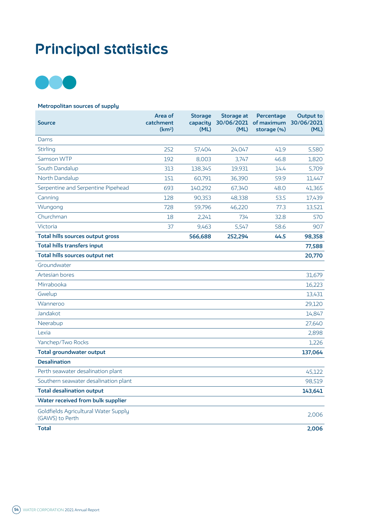# **Principal statistics**



# **Metropolitan sources of supply**

| <b>Source</b>                                           | Area of<br>catchment<br>(km <sup>2</sup> ) | <b>Storage</b><br>capacity<br>(ML) | Storage at<br>(ML) | Percentage<br>30/06/2021 of maximum<br>storage (%) | <b>Output to</b><br>30/06/2021<br>(ML) |
|---------------------------------------------------------|--------------------------------------------|------------------------------------|--------------------|----------------------------------------------------|----------------------------------------|
| Dams                                                    |                                            |                                    |                    |                                                    |                                        |
| <b>Stirling</b>                                         | 252                                        | 57,404                             | 24,047             | 41.9                                               | 5,580                                  |
| Samson WTP                                              | 192                                        | 8,003                              | 3,747              | 46.8                                               | 1,820                                  |
| South Dandalup                                          | 313                                        | 138,345                            | 19,931             | 14.4                                               | 5,709                                  |
| North Dandalup                                          | 151                                        | 60,791                             | 36,390             | 59.9                                               | 11,447                                 |
| Serpentine and Serpentine Pipehead                      | 693                                        | 140,292                            | 67,340             | 48.0                                               | 41,365                                 |
| Canning                                                 | 128                                        | 90,353                             | 48,338             | 53.5                                               | 17,439                                 |
| Wungong                                                 | 728                                        | 59,796                             | 46,220             | 77.3                                               | 13,521                                 |
| Churchman                                               | 18                                         | 2,241                              | 734                | 32.8                                               | 570                                    |
| Victoria                                                | 37                                         | 9,463                              | 5,547              | 58.6                                               | 907                                    |
| Total hills sources output gross                        |                                            | 566,688                            | 252,294            | 44.5                                               | 98,358                                 |
| <b>Total hills transfers input</b>                      |                                            |                                    |                    |                                                    | 77,588                                 |
| Total hills sources output net                          |                                            |                                    |                    |                                                    | 20,770                                 |
| Groundwater                                             |                                            |                                    |                    |                                                    |                                        |
| Artesian bores                                          |                                            |                                    |                    |                                                    | 31,679                                 |
| Mirrabooka                                              |                                            |                                    |                    |                                                    | 16,223                                 |
| Gwelup                                                  |                                            |                                    |                    |                                                    | 13,431                                 |
| Wanneroo                                                |                                            |                                    |                    |                                                    | 29,120                                 |
| Jandakot                                                |                                            |                                    |                    |                                                    | 14,847                                 |
| Neerabup                                                |                                            |                                    |                    |                                                    | 27,640                                 |
| Lexia                                                   |                                            |                                    |                    |                                                    | 2,898                                  |
| Yanchep/Two Rocks                                       |                                            |                                    |                    |                                                    | 1,226                                  |
| <b>Total groundwater output</b>                         |                                            |                                    |                    |                                                    | 137,064                                |
| <b>Desalination</b>                                     |                                            |                                    |                    |                                                    |                                        |
| Perth seawater desalination plant                       |                                            |                                    |                    |                                                    | 45,122                                 |
| Southern seawater desalination plant                    |                                            |                                    |                    |                                                    | 98,519                                 |
| <b>Total desalination output</b>                        |                                            |                                    |                    |                                                    | 143,641                                |
| Water received from bulk supplier                       |                                            |                                    |                    |                                                    |                                        |
| Goldfields Agricultural Water Supply<br>(GAWS) to Perth |                                            |                                    |                    |                                                    | 2,006                                  |
| <b>Total</b>                                            |                                            |                                    |                    |                                                    | 2,006                                  |